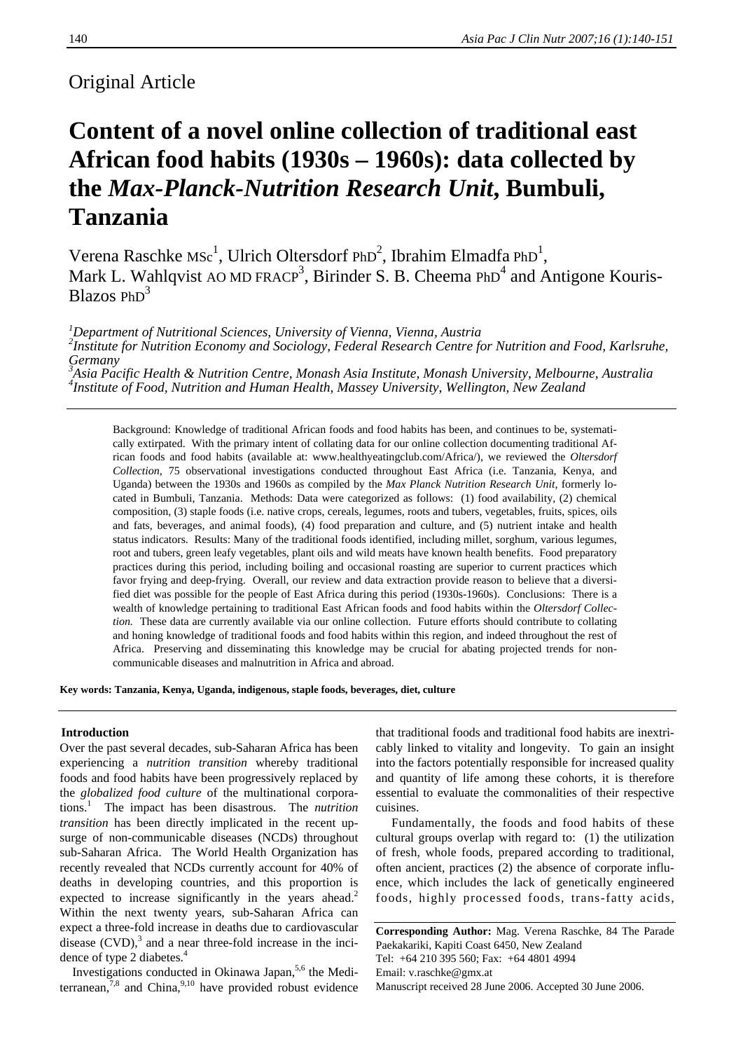### Original Article

## **Content of a novel online collection of traditional east African food habits (1930s – 1960s): data collected by the** *Max-Planck-Nutrition Research Unit***, Bumbuli, Tanzania**

Verena Raschke MSc<sup>1</sup>, Ulrich Oltersdorf PhD<sup>2</sup>, Ibrahim Elmadfa PhD<sup>1</sup>, Mark L. Wahlqvist AO MD FRACP<sup>3</sup>, Birinder S. B. Cheema PhD<sup>4</sup> and Antigone Kouris-Blazos PhD<sup>3</sup>

*1 Department of Nutritional Sciences, University of Vienna, Vienna, Austria* 

*2 Institute for Nutrition Economy and Sociology, Federal Research Centre for Nutrition and Food, Karlsruhe, Germany* 

<sup>3</sup><br><sup>3</sup>Asia Pacific Health & Nutrition Centre, Monash Asia Institute, Monash University, Melbourne, Australia <sup>4</sup>Institute of Eaad, Nutrition and Human Health Massay University Wellington, New Zealand *Institute of Food, Nutrition and Human Health, Massey University, Wellington, New Zealand* 

Background: Knowledge of traditional African foods and food habits has been, and continues to be, systematically extirpated. With the primary intent of collating data for our online collection documenting traditional African foods and food habits (available at: www.healthyeatingclub.com/Africa/), we reviewed the *Oltersdorf Collection*, 75 observational investigations conducted throughout East Africa (i.e. Tanzania, Kenya, and Uganda) between the 1930s and 1960s as compiled by the *Max Planck Nutrition Research Unit,* formerly located in Bumbuli, Tanzania. Methods: Data were categorized as follows: (1) food availability, (2) chemical composition, (3) staple foods (i.e. native crops, cereals, legumes, roots and tubers, vegetables, fruits, spices, oils and fats, beverages, and animal foods), (4) food preparation and culture, and (5) nutrient intake and health status indicators. Results: Many of the traditional foods identified, including millet, sorghum, various legumes, root and tubers, green leafy vegetables, plant oils and wild meats have known health benefits. Food preparatory practices during this period, including boiling and occasional roasting are superior to current practices which favor frying and deep-frying. Overall, our review and data extraction provide reason to believe that a diversified diet was possible for the people of East Africa during this period (1930s-1960s). Conclusions: There is a wealth of knowledge pertaining to traditional East African foods and food habits within the *Oltersdorf Collection*. These data are currently available via our online collection. Future efforts should contribute to collating and honing knowledge of traditional foods and food habits within this region, and indeed throughout the rest of Africa. Preserving and disseminating this knowledge may be crucial for abating projected trends for noncommunicable diseases and malnutrition in Africa and abroad.

**Key words: Tanzania, Kenya, Uganda, indigenous, staple foods, beverages, diet, culture**

#### **Introduction**

Over the past several decades, sub-Saharan Africa has been experiencing a *nutrition transition* whereby traditional foods and food habits have been progressively replaced by the *globalized food culture* of the multinational corporations.<sup>1</sup> The impact has been disastrous. The *nutrition transition* has been directly implicated in the recent upsurge of non-communicable diseases (NCDs) throughout sub-Saharan Africa. The World Health Organization has recently revealed that NCDs currently account for 40% of deaths in developing countries, and this proportion is expected to increase significantly in the years ahead.<sup>2</sup> Within the next twenty years, sub-Saharan Africa can expect a three-fold increase in deaths due to cardiovascular disease  $(CVD)$ ,<sup>3</sup> and a near three-fold increase in the incidence of type 2 diabetes.<sup>4</sup>

Investigations conducted in Okinawa Japan,<sup>5,6</sup> the Mediterranean,  $7,8$  and China,  $9,10$  have provided robust evidence that traditional foods and traditional food habits are inextricably linked to vitality and longevity. To gain an insight into the factors potentially responsible for increased quality and quantity of life among these cohorts, it is therefore essential to evaluate the commonalities of their respective cuisines.

 Fundamentally, the foods and food habits of these cultural groups overlap with regard to: (1) the utilization of fresh, whole foods, prepared according to traditional, often ancient, practices (2) the absence of corporate influence, which includes the lack of genetically engineered foods, highly processed foods, trans-fatty acids,

**Corresponding Author:** Mag. Verena Raschke, 84 The Parade Paekakariki, Kapiti Coast 6450, New Zealand Tel: +64 210 395 560; Fax: +64 4801 4994 Email: v.raschke@gmx.at Manuscript received 28 June 2006. Accepted 30 June 2006.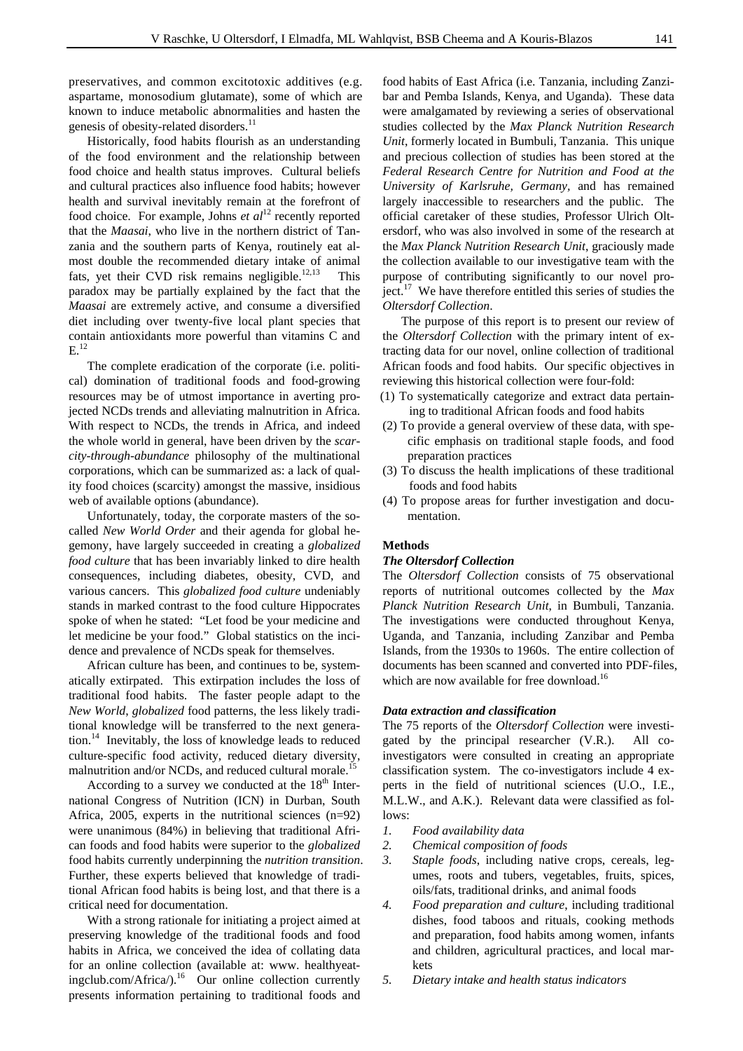preservatives, and common excitotoxic additives (e.g. aspartame, monosodium glutamate), some of which are known to induce metabolic abnormalities and hasten the genesis of obesity-related disorders.<sup>11</sup>

Historically, food habits flourish as an understanding of the food environment and the relationship between food choice and health status improves. Cultural beliefs and cultural practices also influence food habits; however health and survival inevitably remain at the forefront of food choice. For example, Johns *et al*12 recently reported that the *Maasai*, who live in the northern district of Tanzania and the southern parts of Kenya, routinely eat almost double the recommended dietary intake of animal fats, yet their CVD risk remains negligible.<sup>12,13</sup> This paradox may be partially explained by the fact that the *Maasai* are extremely active, and consume a diversified diet including over twenty-five local plant species that contain antioxidants more powerful than vitamins C and  $E^{12}$ 

The complete eradication of the corporate (i.e. political) domination of traditional foods and food-growing resources may be of utmost importance in averting projected NCDs trends and alleviating malnutrition in Africa. With respect to NCDs, the trends in Africa, and indeed the whole world in general, have been driven by the *scarcity-through-abundance* philosophy of the multinational corporations, which can be summarized as: a lack of quality food choices (scarcity) amongst the massive, insidious web of available options (abundance).

Unfortunately, today, the corporate masters of the socalled *New World Order* and their agenda for global hegemony, have largely succeeded in creating a *globalized food culture* that has been invariably linked to dire health consequences, including diabetes, obesity, CVD, and various cancers. This *globalized food culture* undeniably stands in marked contrast to the food culture Hippocrates spoke of when he stated: "Let food be your medicine and let medicine be your food." Global statistics on the incidence and prevalence of NCDs speak for themselves.

African culture has been, and continues to be, systematically extirpated. This extirpation includes the loss of traditional food habits. The faster people adapt to the *New World*, *globalized* food patterns, the less likely traditional knowledge will be transferred to the next generation.14 Inevitably, the loss of knowledge leads to reduced culture-specific food activity, reduced dietary diversity, malnutrition and/or NCDs, and reduced cultural morale.<sup>15</sup>

According to a survey we conducted at the  $18<sup>th</sup>$  International Congress of Nutrition (ICN) in Durban, South Africa, 2005, experts in the nutritional sciences (n=92) were unanimous (84%) in believing that traditional African foods and food habits were superior to the *globalized* food habits currently underpinning the *nutrition transition*. Further, these experts believed that knowledge of traditional African food habits is being lost, and that there is a critical need for documentation.

With a strong rationale for initiating a project aimed at preserving knowledge of the traditional foods and food habits in Africa, we conceived the idea of collating data for an online collection (available at: www. healthyeatingclub.com/Africa/).<sup>16</sup> Our online collection currently presents information pertaining to traditional foods and

food habits of East Africa (i.e. Tanzania, including Zanzibar and Pemba Islands, Kenya, and Uganda). These data were amalgamated by reviewing a series of observational studies collected by the *Max Planck Nutrition Research Unit*, formerly located in Bumbuli, Tanzania. This unique and precious collection of studies has been stored at the *Federal Research Centre for Nutrition and Food at the University of Karlsruhe, Germany,* and has remained largely inaccessible to researchers and the public. The official caretaker of these studies, Professor Ulrich Oltersdorf, who was also involved in some of the research at the *Max Planck Nutrition Research Unit*, graciously made the collection available to our investigative team with the purpose of contributing significantly to our novel project. $17$  We have therefore entitled this series of studies the *Oltersdorf Collection*.

The purpose of this report is to present our review of the *Oltersdorf Collection* with the primary intent of extracting data for our novel, online collection of traditional African foods and food habits. Our specific objectives in reviewing this historical collection were four-fold:

- (1) To systematically categorize and extract data pertaining to traditional African foods and food habits
- (2) To provide a general overview of these data, with specific emphasis on traditional staple foods, and food preparation practices
- (3) To discuss the health implications of these traditional foods and food habits
- (4) To propose areas for further investigation and documentation.

#### **Methods**

#### *The Oltersdorf Collection*

The *Oltersdorf Collection* consists of 75 observational reports of nutritional outcomes collected by the *Max Planck Nutrition Research Unit*, in Bumbuli, Tanzania. The investigations were conducted throughout Kenya, Uganda, and Tanzania, including Zanzibar and Pemba Islands, from the 1930s to 1960s. The entire collection of documents has been scanned and converted into PDF-files, which are now available for free download.<sup>16</sup>

#### *Data extraction and classification*

The 75 reports of the *Oltersdorf Collection* were investigated by the principal researcher (V.R.). All coinvestigators were consulted in creating an appropriate classification system. The co-investigators include 4 experts in the field of nutritional sciences (U.O., I.E., M.L.W., and A.K.). Relevant data were classified as follows:

- *1. Food availability data*
- *2. Chemical composition of foods*
- *3. Staple foods*, including native crops, cereals, legumes, roots and tubers, vegetables, fruits, spices, oils/fats, traditional drinks, and animal foods
- *4. Food preparation and culture*, including traditional dishes, food taboos and rituals, cooking methods and preparation, food habits among women, infants and children, agricultural practices, and local markets
- *5. Dietary intake and health status indicators*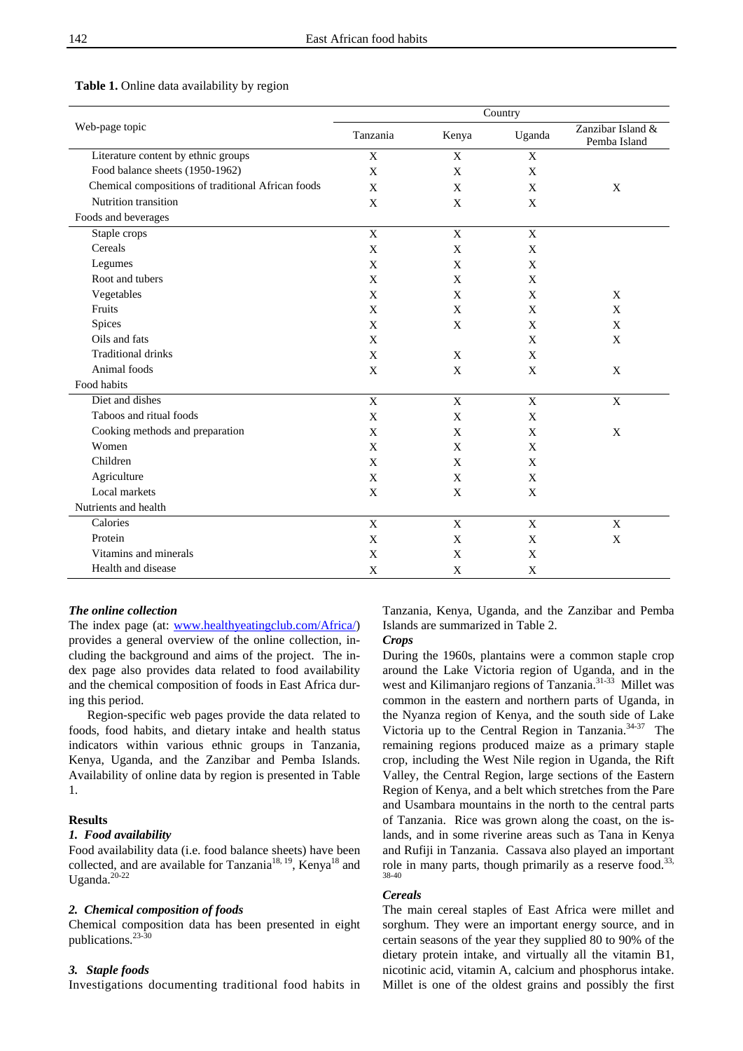|                                                    | Country     |             |             |                                   |  |
|----------------------------------------------------|-------------|-------------|-------------|-----------------------------------|--|
| Web-page topic                                     | Tanzania    | Kenya       | Uganda      | Zanzibar Island &<br>Pemba Island |  |
| Literature content by ethnic groups                | $\mathbf X$ | X           | $\mathbf X$ |                                   |  |
| Food balance sheets (1950-1962)                    | $\mathbf X$ | $\mathbf X$ | X           |                                   |  |
| Chemical compositions of traditional African foods | X           | X           | X           | X                                 |  |
| Nutrition transition                               | X           | X           | X           |                                   |  |
| Foods and beverages                                |             |             |             |                                   |  |
| Staple crops                                       | $\mathbf X$ | $\mathbf X$ | $\mathbf X$ |                                   |  |
| Cereals                                            | X           | X           | X           |                                   |  |
| Legumes                                            | $\mathbf X$ | X           | X           |                                   |  |
| Root and tubers                                    | X           | X           | X           |                                   |  |
| Vegetables                                         | $\mathbf X$ | $\mathbf X$ | X           | X                                 |  |
| Fruits                                             | $\mathbf X$ | X           | X           | X                                 |  |
| Spices                                             | $\mathbf X$ | $\mathbf X$ | $\mathbf X$ | $\mathbf X$                       |  |
| Oils and fats                                      | X           |             | X           | X                                 |  |
| <b>Traditional drinks</b>                          | X           | X           | X           |                                   |  |
| Animal foods                                       | X           | X           | X           | X                                 |  |
| Food habits                                        |             |             |             |                                   |  |
| Diet and dishes                                    | $\mathbf X$ | $\mathbf X$ | $\mathbf X$ | $\mathbf X$                       |  |
| Taboos and ritual foods                            | X           | X           | X           |                                   |  |
| Cooking methods and preparation                    | $\mathbf X$ | X           | X           | X                                 |  |
| Women                                              | X           | X           | X           |                                   |  |
| Children                                           | $\mathbf X$ | X           | X           |                                   |  |
| Agriculture                                        | $\mathbf X$ | X           | X           |                                   |  |
| Local markets                                      | $\mathbf X$ | X           | $\mathbf X$ |                                   |  |
| Nutrients and health                               |             |             |             |                                   |  |
| Calories                                           | $\mathbf X$ | $\mathbf X$ | $\mathbf X$ | $\mathbf X$                       |  |
| Protein                                            | X           | $\mathbf X$ | X           | $\mathbf X$                       |  |
| Vitamins and minerals                              | $\mathbf X$ | $\mathbf X$ | X           |                                   |  |
| Health and disease                                 | $\mathbf X$ | $\mathbf X$ | $\mathbf X$ |                                   |  |

#### **Table 1.** Online data availability by region

#### *The online collection*

The index page (at: www.healthyeatingclub.com/Africa/) provides a general overview of the online collection, including the background and aims of the project. The index page also provides data related to food availability and the chemical composition of foods in East Africa during this period.

Region-specific web pages provide the data related to foods, food habits, and dietary intake and health status indicators within various ethnic groups in Tanzania, Kenya, Uganda, and the Zanzibar and Pemba Islands. Availability of online data by region is presented in Table 1.

#### **Results**

#### *1. Food availability*

Food availability data (i.e. food balance sheets) have been collected, and are available for Tanzania<sup>18, 19</sup>, Kenya<sup>18</sup> and Uganda. $20-22$ 

#### *2. Chemical composition of foods*

Chemical composition data has been presented in eight publications.<sup>23-30</sup>

#### *3. Staple foods*

Investigations documenting traditional food habits in

Tanzania, Kenya, Uganda, and the Zanzibar and Pemba Islands are summarized in Table 2.

#### *Crops*

During the 1960s, plantains were a common staple crop around the Lake Victoria region of Uganda, and in the west and Kilimanjaro regions of Tanzania.31-33 Millet was common in the eastern and northern parts of Uganda, in the Nyanza region of Kenya, and the south side of Lake Victoria up to the Central Region in Tanzania.<sup>34-37</sup> The remaining regions produced maize as a primary staple crop, including the West Nile region in Uganda, the Rift Valley, the Central Region, large sections of the Eastern Region of Kenya, and a belt which stretches from the Pare and Usambara mountains in the north to the central parts of Tanzania. Rice was grown along the coast, on the islands, and in some riverine areas such as Tana in Kenya and Rufiji in Tanzania. Cassava also played an important role in many parts, though primarily as a reserve food.<sup>33,</sup> 38-40

#### *Cereals*

The main cereal staples of East Africa were millet and sorghum. They were an important energy source, and in certain seasons of the year they supplied 80 to 90% of the dietary protein intake, and virtually all the vitamin B1, nicotinic acid, vitamin A, calcium and phosphorus intake. Millet is one of the oldest grains and possibly the first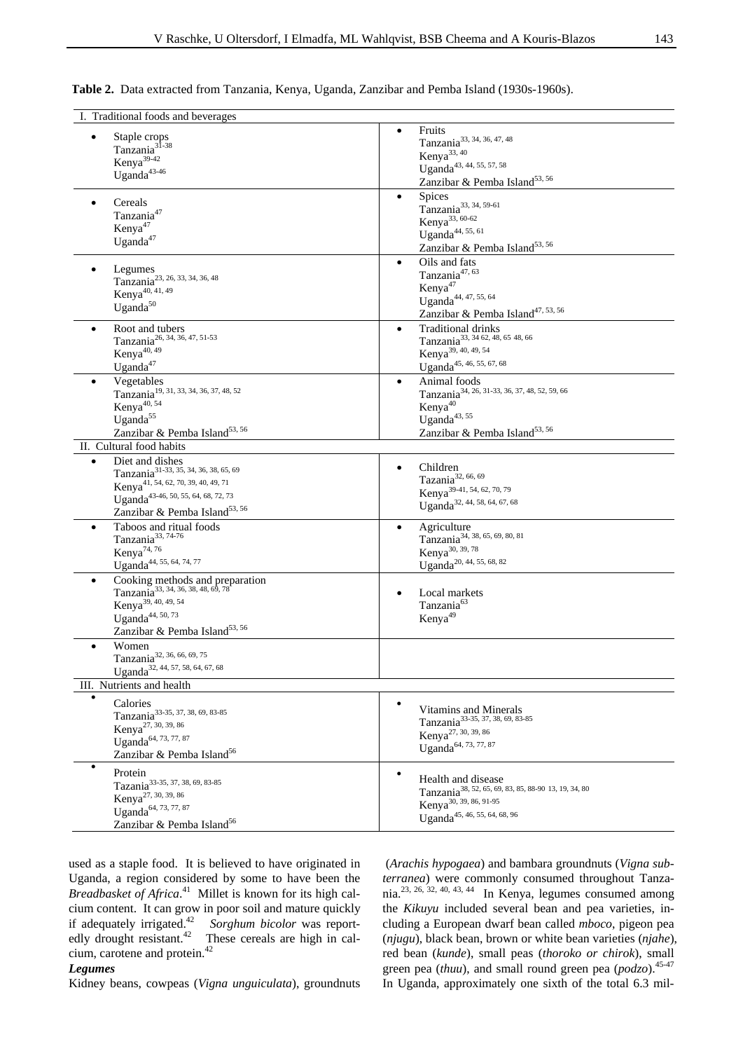#### **Table 2.** Data extracted from Tanzania, Kenya, Uganda, Zanzibar and Pemba Island (1930s-1960s).

| I. Traditional foods and beverages                                                                                                                                                                                                   |                                                                                                                                                                                       |
|--------------------------------------------------------------------------------------------------------------------------------------------------------------------------------------------------------------------------------------|---------------------------------------------------------------------------------------------------------------------------------------------------------------------------------------|
| Staple crops<br>Tanzania <sup>31-38</sup><br>Kenya <sup>39-42</sup><br>Uganda <sup>43-46</sup>                                                                                                                                       | Fruits<br>$\bullet$<br>Tanzania <sup>33, 34, 36, 47, 48</sup><br>Kenya <sup>33, 40</sup><br>Uganda <sup>43, 44, 55, 57, 58</sup><br>Zanzibar & Pemba Island <sup>53, 56</sup>         |
| Cereals<br>٠<br>Tanzania <sup>47</sup><br>Kenya <sup>47</sup><br>Uganda <sup>47</sup>                                                                                                                                                | Spices<br>$\bullet$<br>Tanzania <sup>33, 34, 59-61</sup><br>Kenya <sup>33, 60-62</sup><br>Uganda $44, 55, 61$<br>Zanzibar & Pemba Island <sup>53, 56</sup>                            |
| Legumes<br>Tanzania <sup>23, 26, 33, 34, 36, 48</sup><br>Kenya <sup>40, 41, 49</sup><br>Uganda <sup>50</sup>                                                                                                                         | Oils and fats<br>$\bullet$<br>Tanzania <sup>47, 63</sup><br>Kenya <sup>47</sup><br>Uganda <sup>44, 47, 55, 64</sup><br>Zanzibar & Pemba Island <sup>47, 53, 56</sup>                  |
| Root and tubers<br>$\bullet$<br>Tanzania <sup>26, 34, 36, 47, 51-53</sup><br>Kenya <sup>40, 49</sup><br>Uganda <sup>47</sup>                                                                                                         | <b>Traditional drinks</b><br>$\bullet$<br>Tanzania <sup>33, 34</sup> 62, 48, 65 48, 66<br>Kenya <sup>39, 40, 49, 54</sup><br>Uganda <sup>45, 46, 55, 67, 68</sup>                     |
| Vegetables<br>Tanzania <sup>19, 31, 33, 34, 36, 37, 48, 52</sup><br>Kenya <sup>40, 54</sup><br>Uganda <sup>55</sup><br>Zanzibar & Pemba Island <sup>53, 56</sup>                                                                     | Animal foods<br>$\bullet$<br>Tanzania <sup>34, 26, 31-33, 36, 37, 48, 52, 59, 66</sup><br>Kenya <sup>40</sup><br>Uganda $43,55$<br>Zanzibar & Pemba Island <sup>53, 56</sup>          |
| II. Cultural food habits                                                                                                                                                                                                             |                                                                                                                                                                                       |
| Diet and dishes<br>$\bullet$<br>Tanzania <sup>31-33, 35, 34, 36, 38, 65, 69</sup><br>Kenya <sup>41, 54, 62, 70, 39, 40, 49, 71</sup><br>Uganda <sup>43-46, 50, 55, 64, 68, 72, 73</sup><br>Zanzibar & Pemba Island <sup>53, 56</sup> | Children<br>Tazania <sup>32, 66, 69</sup><br>Kenya <sup>39-41, 54, 62, 70, 79</sup><br>Uganda <sup>32, 44, 58, 64, 67, 68</sup>                                                       |
| Taboos and ritual foods<br>٠<br>Tanzania <sup>33, 74-76</sup><br>Kenya <sup>74,76</sup><br>Uganda <sup>44, 55, 64, 74, 77</sup>                                                                                                      | Agriculture<br>٠<br>Tanzania <sup>34, 38, 65, 69, 80, 81</sup><br>Kenya <sup>30, 39, 78</sup><br>Uganda <sup>20, 44, 55, 68, 82</sup>                                                 |
| Cooking methods and preparation<br>$\bullet$<br>Tanzania <sup>33, 34, 36, 38, 48, 69, 78</sup><br>Kenya <sup>39, 40, 49, 54</sup><br>Uganda $44, 50, 73$<br>Zanzibar & Pemba Island <sup>53, 56</sup>                                | Local markets<br>Tanzania <sup>63</sup><br>Kenya <sup>49</sup>                                                                                                                        |
| Women<br>Tanzania <sup>32, 36, 66, 69, 75</sup><br>Uganda <sup>32, 44, 57, 58, 64, 67, 68</sup><br>III. Nutrients and health                                                                                                         |                                                                                                                                                                                       |
| $\bullet$                                                                                                                                                                                                                            |                                                                                                                                                                                       |
| Calories<br>Tanzania <sup>33-35, 37, 38, 69, 83-85</sup><br>Kenya <sup>27, 30, 39, 86</sup><br>Uganda <sup>64, 73, 77, 87</sup><br>Zanzibar & Pemba Island <sup>56</sup>                                                             | ٠<br>Vitamins and Minerals<br>Tanzania <sup>33-35, 37, 38, 69, 83-85</sup><br>Kenya <sup>27, 30, 39, 86</sup><br>Uganda <sup>64, 73, 77, 87</sup>                                     |
| $\bullet$<br>Protein<br>Tazania <sup>33-35, 37, 38, 69, 83-85</sup><br>Kenya <sup>27, 30, 39, 86</sup><br>Uganda <sup>64, 73, 77, 87</sup><br>Zanzibar & Pemba Island <sup>56</sup>                                                  | $\bullet$<br>Health and disease<br>Tanzania <sup>38, 52, 65, 69, 83, 85, 88-90 13, 19, 34, 80</sup><br>Kenya <sup>30, 39, 86, 91-95</sup><br>Uganda <sup>45, 46, 55, 64, 68, 96</sup> |

used as a staple food. It is believed to have originated in Uganda, a region considered by some to have been the *Breadbasket of Africa*. 41 Millet is known for its high calcium content. It can grow in poor soil and mature quickly if adequately irrigated.42 *Sorghum bicolor* was reportedly drought resistant.<sup>42</sup> These cereals are high in calcium, carotene and protein.42

*Legumes* 

Kidney beans, cowpeas (*Vigna unguiculata*), groundnuts

 (*Arachis hypogaea*) and bambara groundnuts (*Vigna subterranea*) were commonly consumed throughout Tanzania.23, 26, 32, 40, 43, 44 In Kenya, legumes consumed among the *Kikuyu* included several bean and pea varieties, including a European dwarf bean called *mboco*, pigeon pea (*njugu*), black bean, brown or white bean varieties (*njahe*), red bean (*kunde*), small peas (*thoroko or chirok*), small green pea (*thuu*), and small round green pea (*podzo*).<sup>45-47</sup> In Uganda, approximately one sixth of the total 6.3 mil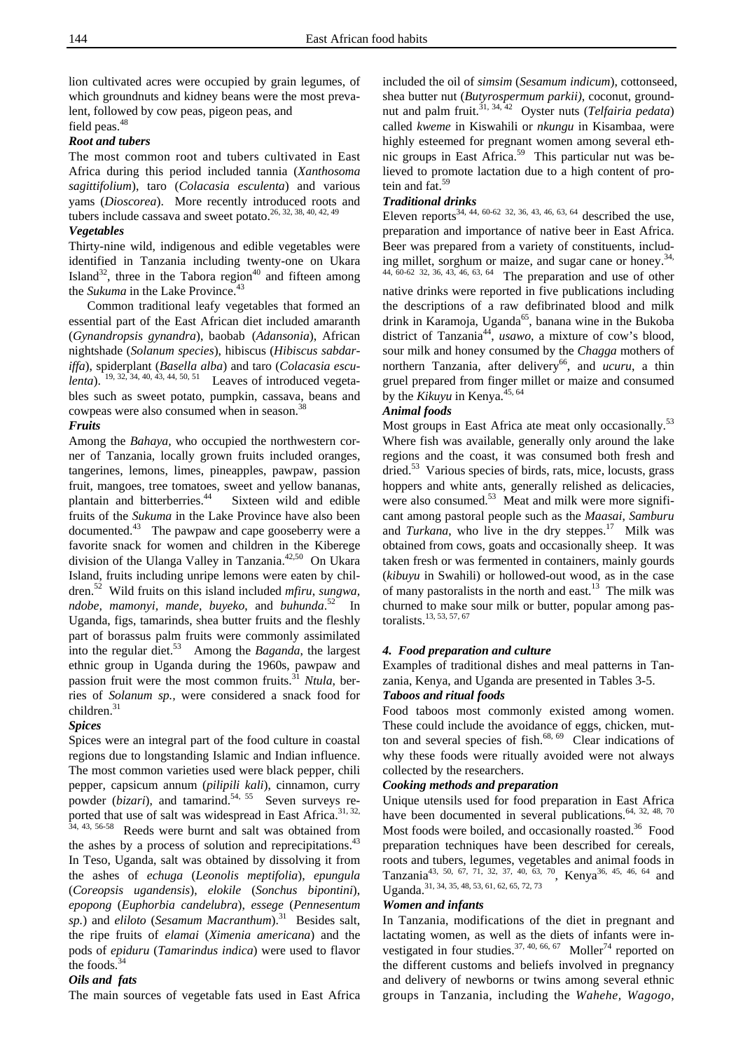lion cultivated acres were occupied by grain legumes, of which groundnuts and kidney beans were the most prevalent, followed by cow peas, pigeon peas, and

field peas.<sup>48</sup>

#### *Root and tubers*

The most common root and tubers cultivated in East Africa during this period included tannia (*Xanthosoma sagittifolium*), taro (*Colacasia esculenta*) and various yams (*Dioscorea*). More recently introduced roots and tubers include cassava and sweet potato.<sup>26, 32, 38, 40, 42, 49</sup>

#### *Vegetables*

Thirty-nine wild, indigenous and edible vegetables were identified in Tanzania including twenty-one on Ukara Island<sup>32</sup>, three in the Tabora region<sup>40</sup> and fifteen among the *Sukuma* in the Lake Province.<sup>43</sup>

Common traditional leafy vegetables that formed an essential part of the East African diet included amaranth (*Gynandropsis gynandra*), baobab (*Adansonia*), African nightshade (*Solanum species*), hibiscus (*Hibiscus sabdariffa*), spiderplant (*Basella alba*) and taro (*Colacasia esculenta*). <sup>19, 32, 34, 40, 43, 44, 50, 51 Leaves of introduced vegeta-</sup> bles such as sweet potato, pumpkin, cassava, beans and cowpeas were also consumed when in season.<sup>38</sup>

#### *Fruits*

Among the *Bahaya,* who occupied the northwestern corner of Tanzania, locally grown fruits included oranges, tangerines, lemons, limes, pineapples, pawpaw, passion fruit, mangoes, tree tomatoes, sweet and yellow bananas, plantain and bitterberries.<sup>44</sup> Sixteen wild and edible fruits of the *Sukuma* in the Lake Province have also been documented.43 The pawpaw and cape gooseberry were a favorite snack for women and children in the Kiberege division of the Ulanga Valley in Tanzania.<sup>42,50</sup> On Ukara Island, fruits including unripe lemons were eaten by children.52 Wild fruits on this island included *mfiru*, *sungwa, ndobe, mamonyi, mande*, *buyeko*, and *buhunda*. 52 In Uganda, figs, tamarinds, shea butter fruits and the fleshly part of borassus palm fruits were commonly assimilated into the regular diet.<sup>53</sup> Among the *Baganda*, the largest ethnic group in Uganda during the 1960s, pawpaw and passion fruit were the most common fruits.<sup>31</sup> *Ntula*, berries of *Solanum sp.,* were considered a snack food for children.<sup>31</sup>

#### *Spices*

Spices were an integral part of the food culture in coastal regions due to longstanding Islamic and Indian influence. The most common varieties used were black pepper, chili pepper, capsicum annum (*pilipili kali*), cinnamon, curry powder (*bizari*), and tamarind.<sup>54, 55</sup> Seven surveys reported that use of salt was widespread in East Africa.<sup>31, 32,</sup> 34, 43, 56-58 Reeds were burnt and salt was obtained from the ashes by a process of solution and reprecipitations.<sup>43</sup> In Teso, Uganda, salt was obtained by dissolving it from the ashes of *echuga* (*Leonolis meptifolia*), *epungula*  (*Coreopsis ugandensis*), *elokile* (*Sonchus bipontini*), *epopong* (*Euphorbia candelubra*), *essege* (*Pennesentum sp.*) and *eliloto* (*Sesamum Macranthum*).31 Besides salt, the ripe fruits of *elamai* (*Ximenia americana*) and the pods of *epiduru* (*Tamarindus indica*) were used to flavor the foods.<sup>34</sup>

#### *Oils and fats*

The main sources of vegetable fats used in East Africa

included the oil of *simsim* (*Sesamum indicum*), cottonseed, shea butter nut (*Butyrospermum parkii)*, coconut, groundnut and palm fruit.31, 34, 42 Oyster nuts (*Telfairia pedata*) called *kweme* in Kiswahili or *nkungu* in Kisambaa, were highly esteemed for pregnant women among several ethnic groups in East Africa.59 This particular nut was believed to promote lactation due to a high content of protein and fat.<sup>59</sup>

#### *Traditional drinks*

Eleven reports<sup>34, 44, 60-62 32, 36, 43, 46, 63, 64</sup> described the use, preparation and importance of native beer in East Africa. Beer was prepared from a variety of constituents, including millet, sorghum or maize, and sugar cane or honey.<sup>34,</sup> 44, 60-62 32, 36, 43, 46, 63, 64 The preparation and use of other native drinks were reported in five publications including the descriptions of a raw defibrinated blood and milk drink in Karamoja, Uganda<sup>65</sup>, banana wine in the Bukoba district of Tanzania44, *usawo*, a mixture of cow's blood, sour milk and honey consumed by the *Chagga* mothers of northern Tanzania, after delivery<sup>66</sup>, and *ucuru*, a thin gruel prepared from finger millet or maize and consumed by the *Kikuyu* in Kenya.<sup>45, 64</sup>

#### *Animal foods*

Most groups in East Africa ate meat only occasionally.<sup>53</sup> Where fish was available, generally only around the lake regions and the coast, it was consumed both fresh and dried.<sup>53</sup> Various species of birds, rats, mice, locusts, grass hoppers and white ants, generally relished as delicacies, were also consumed.<sup>53</sup> Meat and milk were more significant among pastoral people such as the *Maasai*, *Samburu* and *Turkana*, who live in the dry steppes.<sup>17</sup> Milk was obtained from cows, goats and occasionally sheep. It was taken fresh or was fermented in containers, mainly gourds (*kibuyu* in Swahili) or hollowed-out wood, as in the case of many pastoralists in the north and east.<sup>13</sup> The milk was churned to make sour milk or butter, popular among pastoralists.<sup>13, 53, 57, 67</sup>

#### *4. Food preparation and culture*

Examples of traditional dishes and meal patterns in Tanzania, Kenya, and Uganda are presented in Tables 3-5.

#### *Taboos and ritual foods*

Food taboos most commonly existed among women. These could include the avoidance of eggs, chicken, mutton and several species of fish. $68, 69$  Clear indications of why these foods were ritually avoided were not always collected by the researchers.

#### *Cooking methods and preparation*

Unique utensils used for food preparation in East Africa have been documented in several publications. $64$ ,  $32$ ,  $48$ ,  $70$ Most foods were boiled, and occasionally roasted.<sup>36</sup> Food preparation techniques have been described for cereals, roots and tubers, legumes, vegetables and animal foods in Tanzania<sup>43, 50, 67, 71, 32, 37, 40, 63, 70</sup>, Kenya<sup>36, 45, 46, 64</sup> and Uganda.<sup>31, 34, 35, 48, 53, 61, 62, 65, 72, 73</sup>

#### *Women and infants*

In Tanzania, modifications of the diet in pregnant and lactating women, as well as the diets of infants were investigated in four studies.<sup>37, 40, 66, 67</sup> Moller<sup>74</sup> reported on the different customs and beliefs involved in pregnancy and delivery of newborns or twins among several ethnic groups in Tanzania, including the *Wahehe, Wagogo,*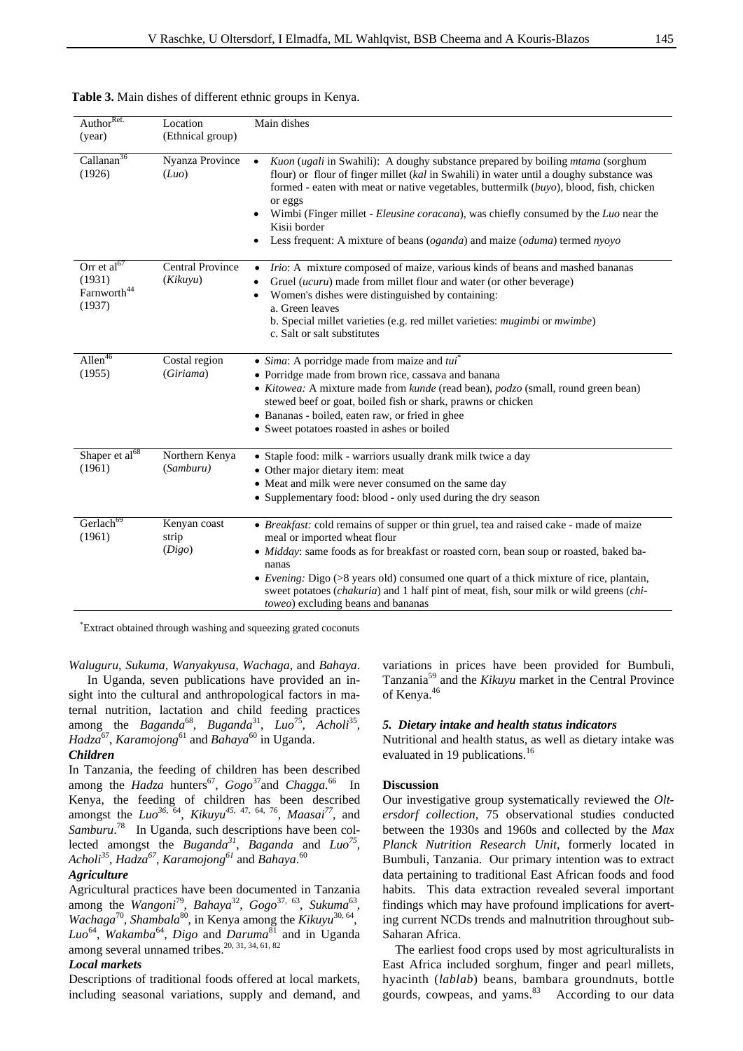|  |  |  | Table 3. Main dishes of different ethnic groups in Kenya. |  |  |
|--|--|--|-----------------------------------------------------------|--|--|
|  |  |  |                                                           |  |  |

| Author <sup>Ref.</sup><br>(year)                             | Location<br>(Ethnical group)        | Main dishes                                                                                                                                                                                                                                                                                                                                                                                                                                                               |
|--------------------------------------------------------------|-------------------------------------|---------------------------------------------------------------------------------------------------------------------------------------------------------------------------------------------------------------------------------------------------------------------------------------------------------------------------------------------------------------------------------------------------------------------------------------------------------------------------|
| Callanan <sup>36</sup><br>(1926)                             | Nyanza Province<br>(Luo)            | Kuon (ugali in Swahili): A doughy substance prepared by boiling <i>mtama</i> (sorghum<br>flour) or flour of finger millet (kal in Swahili) in water until a doughy substance was<br>formed - eaten with meat or native vegetables, buttermilk (buyo), blood, fish, chicken<br>or eggs<br>Wimbi (Finger millet - Eleusine coracana), was chiefly consumed by the Luo near the<br>Kisii border<br>Less frequent: A mixture of beans (oganda) and maize (oduma) termed nyoyo |
| Orr et $aI67$<br>(1931)<br>Farnworth <sup>44</sup><br>(1937) | <b>Central Province</b><br>(Kikuvu) | Irio: A mixture composed of maize, various kinds of beans and mashed bananas<br>$\bullet$<br>Gruel (ucuru) made from millet flour and water (or other beverage)<br>Women's dishes were distinguished by containing:<br>a. Green leaves<br>b. Special millet varieties (e.g. red millet varieties: mugimbi or mwimbe)<br>c. Salt or salt substitutes                                                                                                                       |
| Allen <sup>46</sup><br>(1955)                                | Costal region<br>(Giriama)          | • Sima: A porridge made from maize and $tui^*$<br>· Porridge made from brown rice, cassava and banana<br>• Kitowea: A mixture made from kunde (read bean), podzo (small, round green bean)<br>stewed beef or goat, boiled fish or shark, prawns or chicken<br>• Bananas - boiled, eaten raw, or fried in ghee<br>• Sweet potatoes roasted in ashes or boiled                                                                                                              |
| Shaper et al <sup>68</sup><br>(1961)                         | Northern Kenya<br>(Samburu)         | • Staple food: milk - warriors usually drank milk twice a day<br>• Other major dietary item: meat<br>• Meat and milk were never consumed on the same day<br>• Supplementary food: blood - only used during the dry season                                                                                                                                                                                                                                                 |
| Gerlach <sup>69</sup><br>(1961)                              | Kenyan coast<br>strip<br>(Digo)     | · Breakfast: cold remains of supper or thin gruel, tea and raised cake - made of maize<br>meal or imported wheat flour<br>· Midday: same foods as for breakfast or roasted corn, bean soup or roasted, baked ba-<br>nanas<br>• Evening: Digo $(>\!\!8$ years old) consumed one quart of a thick mixture of rice, plantain,<br>sweet potatoes (chakuria) and 1 half pint of meat, fish, sour milk or wild greens (chi-<br><i>toweo</i> ) excluding beans and bananas       |

\* Extract obtained through washing and squeezing grated coconuts

*Waluguru, Sukuma, Wanyakyusa, Wachaga,* and *Bahaya*.

In Uganda, seven publications have provided an insight into the cultural and anthropological factors in maternal nutrition, lactation and child feeding practices among the *Baganda*<sup>68</sup>, *Buganda*<sup>31</sup>, *Luo*<sup>75</sup>, *Acholi*<sup>35</sup>, *Hadza<sup>67</sup>, Karamojong*<sup>61</sup> and *Bahaya*<sup>60</sup> in Uganda.

#### *Children*

In Tanzania, the feeding of children has been described among the *Hadza* hunters<sup>67</sup>, *Gogo*<sup>37</sup>and *Chagga*.<sup>66</sup> In Kenya, the feeding of children has been described amongst the *Luo<sup>36</sup>*, 64, *Kikuyu<sup>45</sup>*, 47, 64, 76, *Maasai77*, and Samburu.<sup>78</sup> In Uganda, such descriptions have been collected amongst the *Buganda<sup>31</sup>*, *Baganda* and *Luo<sup>75</sup>*, *Acholi35*, *Hadza<sup>67</sup>*, *Karamojong<sup>61</sup>* and *Bahaya*. 60

#### *Agriculture*

Agricultural practices have been documented in Tanzania among the *Wangoni*79, *Bahaya*32, *Gogo*37, 63, *Sukuma*63, *Wachaga*<sup>70</sup>, *Shambala*<sup>80</sup>, in Kenya among the *Kikuyu*<sup>30, 64</sup>, *Luo*64, *Wakamba*64, *Digo* and *Daruma*81 and in Uganda among several unnamed tribes.<sup>20, 31, 34, 61, 82</sup>

#### *Local markets*

Descriptions of traditional foods offered at local markets, including seasonal variations, supply and demand, and

variations in prices have been provided for Bumbuli, Tanzania59 and the *Kikuyu* market in the Central Province of Kenya.<sup>46</sup>

#### *5. Dietary intake and health status indicators*

Nutritional and health status, as well as dietary intake was evaluated in 19 publications.<sup>16</sup>

#### **Discussion**

Our investigative group systematically reviewed the *Oltersdorf collection,* 75 observational studies conducted between the 1930s and 1960s and collected by the *Max Planck Nutrition Research Unit*, formerly located in Bumbuli, Tanzania. Our primary intention was to extract data pertaining to traditional East African foods and food habits. This data extraction revealed several important findings which may have profound implications for averting current NCDs trends and malnutrition throughout sub-Saharan Africa.

 The earliest food crops used by most agriculturalists in East Africa included sorghum, finger and pearl millets, hyacinth (*lablab*) beans, bambara groundnuts, bottle gourds, cowpeas, and yams. $83$  According to our data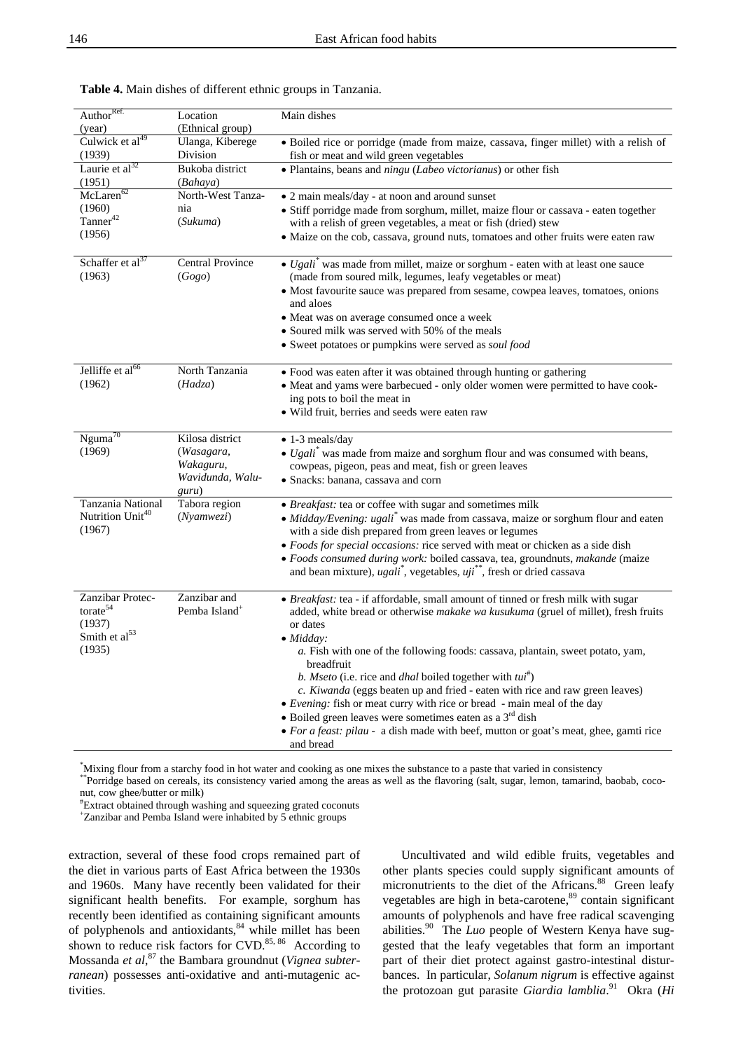| Author <sup>Ref.</sup>                            | Location                  | Main dishes                                                                                     |
|---------------------------------------------------|---------------------------|-------------------------------------------------------------------------------------------------|
| (year)                                            | (Ethnical group)          |                                                                                                 |
| Culwick et al <sup>49</sup>                       | Ulanga, Kiberege          | · Boiled rice or porridge (made from maize, cassava, finger millet) with a relish of            |
| (1939)                                            | Division                  | fish or meat and wild green vegetables                                                          |
| Laurie et $al32$                                  | Bukoba district           | • Plantains, beans and <i>ningu</i> ( <i>Labeo victorianus</i> ) or other fish                  |
| (1951)                                            | (Bahaya)                  |                                                                                                 |
| McLaren <sup>62</sup>                             | North-West Tanza-         | • 2 main meals/day - at noon and around sunset                                                  |
| (1960)                                            | nia                       | • Stiff porridge made from sorghum, millet, maize flour or cassava - eaten together             |
| Tanner <sup>42</sup>                              | (Sukuma)                  | with a relish of green vegetables, a meat or fish (dried) stew                                  |
| (1956)                                            |                           | · Maize on the cob, cassava, ground nuts, tomatoes and other fruits were eaten raw              |
|                                                   |                           |                                                                                                 |
| Schaffer et al <sup>37</sup>                      | Central Province          | • $Ugali^*$ was made from millet, maize or sorghum - eaten with at least one sauce              |
| (1963)                                            | (Gogo)                    | (made from soured milk, legumes, leafy vegetables or meat)                                      |
|                                                   |                           | • Most favourite sauce was prepared from sesame, cowpea leaves, tomatoes, onions                |
|                                                   |                           | and aloes                                                                                       |
|                                                   |                           | • Meat was on average consumed once a week                                                      |
|                                                   |                           | • Soured milk was served with 50% of the meals                                                  |
|                                                   |                           | • Sweet potatoes or pumpkins were served as soul food                                           |
|                                                   |                           |                                                                                                 |
| Jelliffe et al <sup>66</sup>                      | North Tanzania            | · Food was eaten after it was obtained through hunting or gathering                             |
| (1962)                                            | (Hadza)                   | • Meat and yams were barbecued - only older women were permitted to have cook-                  |
|                                                   |                           | ing pots to boil the meat in                                                                    |
|                                                   |                           | • Wild fruit, berries and seeds were eaten raw                                                  |
|                                                   |                           |                                                                                                 |
| $Nguma^{70}$                                      | Kilosa district           | $\bullet$ 1-3 meals/day                                                                         |
| (1969)                                            | (Wasagara,                | $\bullet$ Ugali <sup>*</sup> was made from maize and sorghum flour and was consumed with beans, |
|                                                   | Wakaguru,                 | cowpeas, pigeon, peas and meat, fish or green leaves                                            |
|                                                   | Wavidunda, Walu-          | • Snacks: banana, cassava and corn                                                              |
|                                                   | guru)                     |                                                                                                 |
| Tanzania National<br>Nutrition Unit <sup>40</sup> | Tabora region             | • Breakfast: tea or coffee with sugar and sometimes milk                                        |
|                                                   | $(N$ yamwezi $)$          | · Midday/Evening: ugali* was made from cassava, maize or sorghum flour and eaten                |
| (1967)                                            |                           | with a side dish prepared from green leaves or legumes                                          |
|                                                   |                           | • Foods for special occasions: rice served with meat or chicken as a side dish                  |
|                                                   |                           | · Foods consumed during work: boiled cassava, tea, groundnuts, makande (maize                   |
|                                                   |                           | and bean mixture), $ugali^*$ , vegetables, $uji^{**}$ , fresh or dried cassava                  |
| Zanzibar Protec-                                  | Zanzibar and              | • <i>Breakfast:</i> tea - if affordable, small amount of tinned or fresh milk with sugar        |
| torate <sup>54</sup>                              | Pemba Island <sup>+</sup> | added, white bread or otherwise makake wa kusukuma (gruel of millet), fresh fruits              |
| (1937)                                            |                           | or dates                                                                                        |
| Smith et al <sup>53</sup>                         |                           | $\bullet$ Midday:                                                                               |
| (1935)                                            |                           | a. Fish with one of the following foods: cassava, plantain, sweet potato, yam,                  |
|                                                   |                           | breadfruit                                                                                      |
|                                                   |                           | b. Mseto (i.e. rice and <i>dhal</i> boiled together with $tui^{\#}$ )                           |
|                                                   |                           | c. Kiwanda (eggs beaten up and fried - eaten with rice and raw green leaves)                    |
|                                                   |                           | • Evening: fish or meat curry with rice or bread - main meal of the day                         |
|                                                   |                           | $\bullet$ Boiled green leaves were sometimes eaten as a $3rd$ dish                              |
|                                                   |                           |                                                                                                 |
|                                                   |                           | • For a feast: pilau - a dish made with beef, mutton or goat's meat, ghee, gamti rice           |

**Table 4.** Main dishes of different ethnic groups in Tanzania.

\*Mixing flour from a starchy food in hot water and cooking as one mixes the substance to a paste that varied in consistency \*\*Porridge based on cereals, its consistency varied among the areas as well as the flavoring (salt, sugar, lemon, tamarind, baobab, coco-

nut, cow ghee/butter or milk)

# Extract obtained through washing and squeezing grated coconuts +

Zanzibar and Pemba Island were inhabited by 5 ethnic groups

extraction, several of these food crops remained part of the diet in various parts of East Africa between the 1930s and 1960s. Many have recently been validated for their significant health benefits. For example, sorghum has recently been identified as containing significant amounts of polyphenols and antioxidants,<sup>84</sup> while millet has been shown to reduce risk factors for  $CVD$ .<sup>85, 86</sup> According to Mossanda *et al*, 87 the Bambara groundnut (*Vignea subterranean*) possesses anti-oxidative and anti-mutagenic activities.

Uncultivated and wild edible fruits, vegetables and other plants species could supply significant amounts of micronutrients to the diet of the Africans.<sup>88</sup> Green leafy vegetables are high in beta-carotene,<sup>89</sup> contain significant amounts of polyphenols and have free radical scavenging abilities.90 The *Luo* people of Western Kenya have suggested that the leafy vegetables that form an important part of their diet protect against gastro-intestinal disturbances. In particular, *Solanum nigrum* is effective against the protozoan gut parasite *Giardia lamblia*. 91 Okra (*Hi*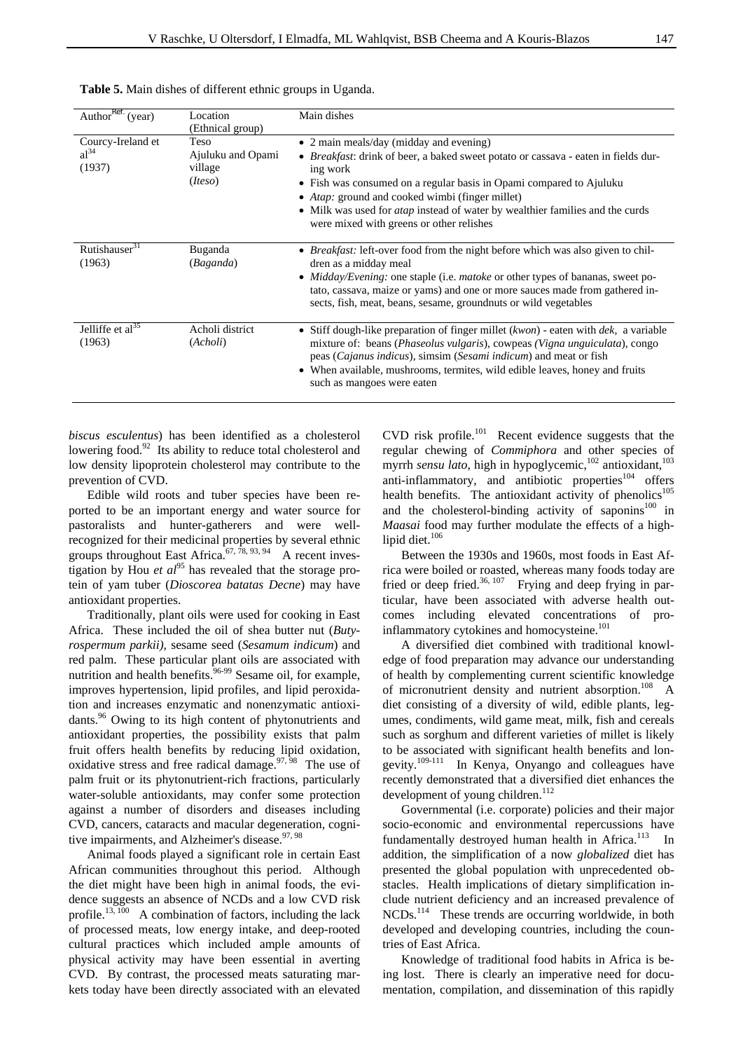| Author <sup>Ref.</sup> (year)            | Location<br>(Ethnical group)                    | Main dishes                                                                                                                                                                                                                                                                                                                                                                                                             |
|------------------------------------------|-------------------------------------------------|-------------------------------------------------------------------------------------------------------------------------------------------------------------------------------------------------------------------------------------------------------------------------------------------------------------------------------------------------------------------------------------------------------------------------|
| Courcy-Ireland et<br>$al^{34}$<br>(1937) | Teso<br>Ajuluku and Opami<br>village<br>(Iteso) | • 2 main meals/day (midday and evening)<br>• <i>Breakfast</i> : drink of beer, a baked sweet potato or cassava - eaten in fields dur-<br>ing work<br>• Fish was consumed on a regular basis in Opami compared to Ajuluku<br>• <i>Atap</i> : ground and cooked wimbi (finger millet)<br>• Milk was used for <i>atap</i> instead of water by wealthier families and the curds<br>were mixed with greens or other relishes |
| Rutishauser <sup>31</sup><br>(1963)      | Buganda<br>(Baganda)                            | • Breakfast: left-over food from the night before which was also given to chil-<br>dren as a midday meal<br>• Midday/Evening: one staple (i.e. <i>matoke</i> or other types of bananas, sweet po-<br>tato, cassava, maize or yams) and one or more sauces made from gathered in-<br>sects, fish, meat, beans, sesame, ground nuts or wild vegetables                                                                    |
| Jelliffe et $al35$<br>(1963)             | Acholi district<br>(Acholi)                     | • Stiff dough-like preparation of finger millet $(kwon)$ - eaten with $dek$ , a variable<br>mixture of: beans ( <i>Phaseolus vulgaris</i> ), cowpeas ( <i>Vigna unguiculata</i> ), congo<br>peas (Cajanus indicus), simsim (Sesami indicum) and meat or fish<br>• When available, mushrooms, termites, wild edible leaves, honey and fruits<br>such as mangoes were eaten                                               |

| Table 5. Main dishes of different ethnic groups in Uganda. |  |  |
|------------------------------------------------------------|--|--|
|------------------------------------------------------------|--|--|

*biscus esculentus*) has been identified as a cholesterol lowering food.<sup>92</sup> Its ability to reduce total cholesterol and low density lipoprotein cholesterol may contribute to the prevention of CVD.

Edible wild roots and tuber species have been reported to be an important energy and water source for pastoralists and hunter-gatherers and were wellrecognized for their medicinal properties by several ethnic groups throughout East Africa.<sup>67, 78, 93, 94</sup> A recent investigation by Hou *et al*<sup>95</sup> has revealed that the storage protein of yam tuber (*Dioscorea batatas Decne*) may have antioxidant properties.

Traditionally, plant oils were used for cooking in East Africa. These included the oil of shea butter nut (*Butyrospermum parkii)*, sesame seed (*Sesamum indicum*) and red palm. These particular plant oils are associated with nutrition and health benefits.<sup>96-99</sup> Sesame oil, for example, improves hypertension, lipid profiles, and lipid peroxidation and increases enzymatic and nonenzymatic antioxidants.<sup>96</sup> Owing to its high content of phytonutrients and antioxidant properties, the possibility exists that palm fruit offers health benefits by reducing lipid oxidation, oxidative stress and free radical damage.  $97, 98$  The use of palm fruit or its phytonutrient-rich fractions, particularly water-soluble antioxidants, may confer some protection against a number of disorders and diseases including CVD, cancers, cataracts and macular degeneration, cognitive impairments, and Alzheimer's disease.<sup>97, 98</sup>

Animal foods played a significant role in certain East African communities throughout this period. Although the diet might have been high in animal foods, the evidence suggests an absence of NCDs and a low CVD risk profile.<sup>13, 100</sup> A combination of factors, including the lack of processed meats, low energy intake, and deep-rooted cultural practices which included ample amounts of physical activity may have been essential in averting CVD. By contrast, the processed meats saturating markets today have been directly associated with an elevated

 $CVD$  risk profile.<sup>101</sup> Recent evidence suggests that the regular chewing of *Commiphora* and other species of myrrh *sensu lato*, high in hypoglycemic,<sup>102</sup> antioxidant,<sup>103</sup> anti-inflammatory, and antibiotic properties<sup>104</sup> offers health benefits. The antioxidant activity of phenolics $105$ and the cholesterol-binding activity of saponins<sup>100</sup> in *Maasai* food may further modulate the effects of a highlipid diet. $106$ 

Between the 1930s and 1960s, most foods in East Africa were boiled or roasted, whereas many foods today are fried or deep fried.<sup>36, 107</sup> Frying and deep frying in particular, have been associated with adverse health outcomes including elevated concentrations of proinflammatory cytokines and homocysteine.<sup>101</sup>

A diversified diet combined with traditional knowledge of food preparation may advance our understanding of health by complementing current scientific knowledge of micronutrient density and nutrient absorption.<sup>108</sup> A diet consisting of a diversity of wild, edible plants, legumes, condiments, wild game meat, milk, fish and cereals such as sorghum and different varieties of millet is likely to be associated with significant health benefits and longevity.109-111 In Kenya, Onyango and colleagues have recently demonstrated that a diversified diet enhances the development of young children.<sup>112</sup>

Governmental (i.e. corporate) policies and their major socio-economic and environmental repercussions have fundamentally destroyed human health in Africa.<sup>113</sup> In addition, the simplification of a now *globalized* diet has presented the global population with unprecedented obstacles. Health implications of dietary simplification include nutrient deficiency and an increased prevalence of NCDs.114 These trends are occurring worldwide, in both developed and developing countries, including the countries of East Africa.

Knowledge of traditional food habits in Africa is being lost. There is clearly an imperative need for documentation, compilation, and dissemination of this rapidly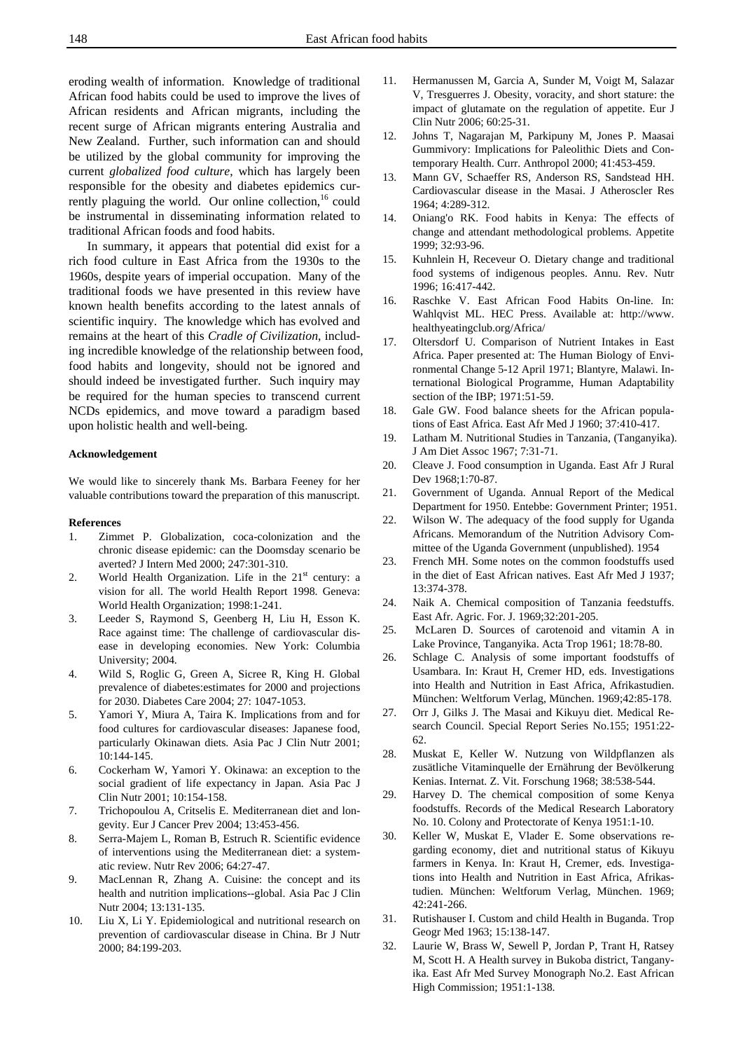eroding wealth of information. Knowledge of traditional African food habits could be used to improve the lives of African residents and African migrants, including the recent surge of African migrants entering Australia and New Zealand. Further, such information can and should be utilized by the global community for improving the current *globalized food culture*, which has largely been responsible for the obesity and diabetes epidemics currently plaguing the world. Our online collection, $16$  could be instrumental in disseminating information related to traditional African foods and food habits.

In summary, it appears that potential did exist for a rich food culture in East Africa from the 1930s to the 1960s, despite years of imperial occupation. Many of the traditional foods we have presented in this review have known health benefits according to the latest annals of scientific inquiry. The knowledge which has evolved and remains at the heart of this *Cradle of Civilization*, including incredible knowledge of the relationship between food, food habits and longevity, should not be ignored and should indeed be investigated further. Such inquiry may be required for the human species to transcend current NCDs epidemics, and move toward a paradigm based upon holistic health and well-being.

#### **Acknowledgement**

We would like to sincerely thank Ms. Barbara Feeney for her valuable contributions toward the preparation of this manuscript.

#### **References**

- 1. Zimmet P. Globalization, coca-colonization and the chronic disease epidemic: can the Doomsday scenario be averted? J Intern Med 2000; 247:301-310.
- 2. World Health Organization. Life in the  $21<sup>st</sup>$  century: a vision for all. The world Health Report 1998. Geneva: World Health Organization; 1998:1-241.
- 3. Leeder S, Raymond S, Geenberg H, Liu H, Esson K. Race against time: The challenge of cardiovascular disease in developing economies. New York: Columbia University; 2004.
- 4. Wild S, Roglic G, Green A, Sicree R, King H. Global prevalence of diabetes:estimates for 2000 and projections for 2030. Diabetes Care 2004; 27: 1047-1053.
- 5. Yamori Y, Miura A, Taira K. Implications from and for food cultures for cardiovascular diseases: Japanese food, particularly Okinawan diets. Asia Pac J Clin Nutr 2001; 10:144-145.
- 6. Cockerham W, Yamori Y. Okinawa: an exception to the social gradient of life expectancy in Japan. Asia Pac J Clin Nutr 2001; 10:154-158.
- 7. Trichopoulou A, Critselis E. Mediterranean diet and longevity. Eur J Cancer Prev 2004; 13:453-456.
- 8. Serra-Majem L, Roman B, Estruch R. Scientific evidence of interventions using the Mediterranean diet: a systematic review. Nutr Rev 2006; 64:27-47.
- 9. MacLennan R, Zhang A. Cuisine: the concept and its health and nutrition implications--global. Asia Pac J Clin Nutr 2004; 13:131-135.
- 10. Liu X, Li Y. Epidemiological and nutritional research on prevention of cardiovascular disease in China. Br J Nutr 2000; 84:199-203.
- 11. Hermanussen M, Garcia A, Sunder M, Voigt M, Salazar V, Tresguerres J. Obesity, voracity, and short stature: the impact of glutamate on the regulation of appetite. Eur J Clin Nutr 2006; 60:25-31.
- 12. Johns T, Nagarajan M, Parkipuny M, Jones P. Maasai Gummivory: Implications for Paleolithic Diets and Contemporary Health. Curr. Anthropol 2000; 41:453-459.
- 13. Mann GV, Schaeffer RS, Anderson RS, Sandstead HH. Cardiovascular disease in the Masai. J Atheroscler Res 1964; 4:289-312.
- 14. Oniang'o RK. Food habits in Kenya: The effects of change and attendant methodological problems. Appetite 1999; 32:93-96.
- 15. Kuhnlein H, Receveur O. Dietary change and traditional food systems of indigenous peoples. Annu. Rev. Nutr 1996; 16:417-442.
- 16. Raschke V. East African Food Habits On-line. In: Wahlqvist ML. HEC Press. Available at: http://www. healthyeatingclub.org/Africa/
- 17. Oltersdorf U. Comparison of Nutrient Intakes in East Africa. Paper presented at: The Human Biology of Environmental Change 5-12 April 1971; Blantyre, Malawi. International Biological Programme, Human Adaptability section of the IBP; 1971:51-59.
- 18. Gale GW. Food balance sheets for the African populations of East Africa. East Afr Med J 1960; 37:410-417.
- 19. Latham M. Nutritional Studies in Tanzania, (Tanganyika). J Am Diet Assoc 1967; 7:31-71.
- 20. Cleave J. Food consumption in Uganda. East Afr J Rural Dev 1968;1:70-87.
- 21. Government of Uganda. Annual Report of the Medical Department for 1950. Entebbe: Government Printer; 1951.
- 22. Wilson W. The adequacy of the food supply for Uganda Africans. Memorandum of the Nutrition Advisory Committee of the Uganda Government (unpublished). 1954
- 23. French MH. Some notes on the common foodstuffs used in the diet of East African natives. East Afr Med J 1937; 13:374-378.
- 24. Naik A. Chemical composition of Tanzania feedstuffs. East Afr. Agric. For. J. 1969;32:201-205.
- 25. McLaren D. Sources of carotenoid and vitamin A in Lake Province, Tanganyika. Acta Trop 1961; 18:78-80.
- 26. Schlage C. Analysis of some important foodstuffs of Usambara. In: Kraut H, Cremer HD, eds. Investigations into Health and Nutrition in East Africa, Afrikastudien. München: Weltforum Verlag, München. 1969;42:85-178.
- 27. Orr J, Gilks J. The Masai and Kikuyu diet. Medical Research Council. Special Report Series No.155; 1951:22- 62.
- 28. Muskat E, Keller W. Nutzung von Wildpflanzen als zusätliche Vitaminquelle der Ernährung der Bevölkerung Kenias. Internat. Z. Vit. Forschung 1968; 38:538-544.
- 29. Harvey D. The chemical composition of some Kenya foodstuffs. Records of the Medical Research Laboratory No. 10. Colony and Protectorate of Kenya 1951:1-10.
- 30. Keller W, Muskat E, Vlader E. Some observations regarding economy, diet and nutritional status of Kikuyu farmers in Kenya. In: Kraut H, Cremer, eds. Investigations into Health and Nutrition in East Africa, Afrikastudien. München: Weltforum Verlag, München. 1969; 42:241-266.
- 31. Rutishauser I. Custom and child Health in Buganda. Trop Geogr Med 1963; 15:138-147.
- 32. Laurie W, Brass W, Sewell P, Jordan P, Trant H, Ratsey M, Scott H. A Health survey in Bukoba district, Tanganyika. East Afr Med Survey Monograph No.2. East African High Commission; 1951:1-138.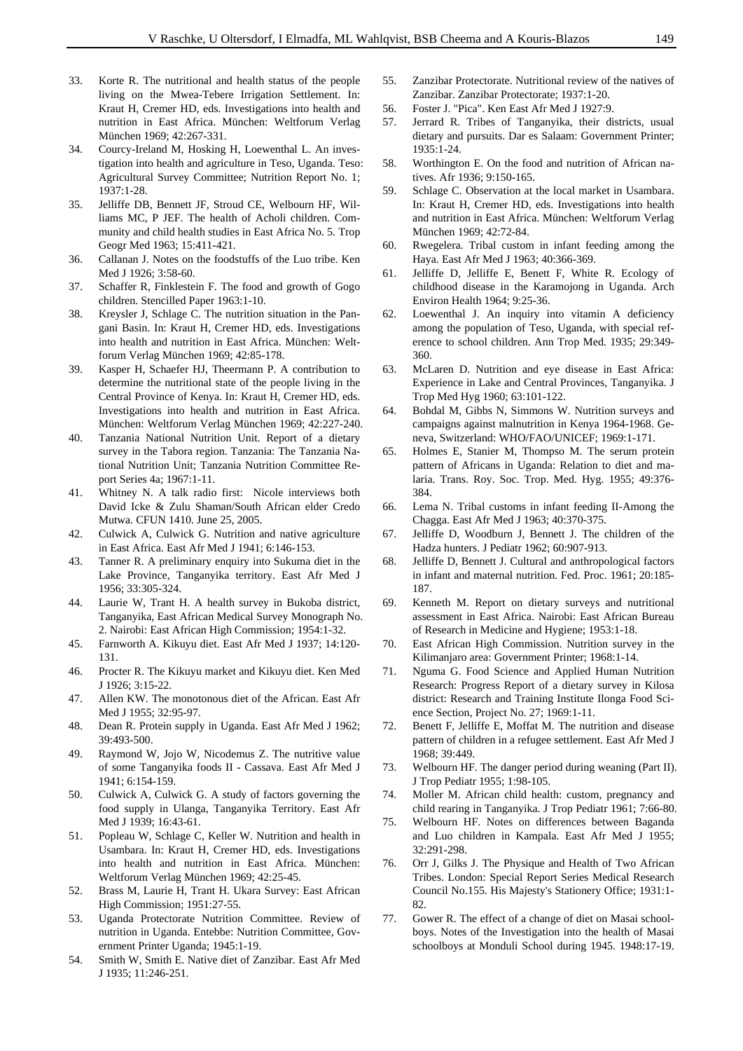- 33. Korte R. The nutritional and health status of the people living on the Mwea-Tebere Irrigation Settlement. In: Kraut H, Cremer HD, eds. Investigations into health and nutrition in East Africa. München: Weltforum Verlag München 1969; 42:267-331.
- 34. Courcy-Ireland M, Hosking H, Loewenthal L. An investigation into health and agriculture in Teso, Uganda. Teso: Agricultural Survey Committee; Nutrition Report No. 1;  $1937 \cdot 1 - 28$
- 35. Jelliffe DB, Bennett JF, Stroud CE, Welbourn HF, Williams MC, P JEF. The health of Acholi children. Community and child health studies in East Africa No. 5. Trop Geogr Med 1963; 15:411-421.
- 36. Callanan J. Notes on the foodstuffs of the Luo tribe. Ken Med J 1926; 3:58-60.
- 37. Schaffer R, Finklestein F. The food and growth of Gogo children. Stencilled Paper 1963:1-10.
- 38. Kreysler J, Schlage C. The nutrition situation in the Pangani Basin. In: Kraut H, Cremer HD, eds. Investigations into health and nutrition in East Africa. München: Weltforum Verlag München 1969; 42:85-178.
- 39. Kasper H, Schaefer HJ, Theermann P. A contribution to determine the nutritional state of the people living in the Central Province of Kenya. In: Kraut H, Cremer HD, eds. Investigations into health and nutrition in East Africa. München: Weltforum Verlag München 1969; 42:227-240.
- 40. Tanzania National Nutrition Unit. Report of a dietary survey in the Tabora region. Tanzania: The Tanzania National Nutrition Unit; Tanzania Nutrition Committee Report Series 4a; 1967:1-11.
- 41. Whitney N. A talk radio first: Nicole interviews both David Icke & Zulu Shaman/South African elder Credo Mutwa. CFUN 1410. June 25, 2005.
- 42. Culwick A, Culwick G. Nutrition and native agriculture in East Africa. East Afr Med J 1941; 6:146-153.
- 43. Tanner R. A preliminary enquiry into Sukuma diet in the Lake Province, Tanganyika territory. East Afr Med J 1956; 33:305-324.
- 44. Laurie W, Trant H. A health survey in Bukoba district, Tanganyika, East African Medical Survey Monograph No. 2. Nairobi: East African High Commission; 1954:1-32.
- 45. Farnworth A. Kikuyu diet. East Afr Med J 1937; 14:120- 131.
- 46. Procter R. The Kikuyu market and Kikuyu diet. Ken Med J 1926; 3:15-22.
- 47. Allen KW. The monotonous diet of the African. East Afr Med J 1955; 32:95-97.
- 48. Dean R. Protein supply in Uganda. East Afr Med J 1962; 39:493-500.
- 49. Raymond W, Jojo W, Nicodemus Z. The nutritive value of some Tanganyika foods II - Cassava. East Afr Med J 1941; 6:154-159.
- 50. Culwick A, Culwick G. A study of factors governing the food supply in Ulanga, Tanganyika Territory. East Afr Med J 1939; 16:43-61.
- 51. Popleau W, Schlage C, Keller W. Nutrition and health in Usambara. In: Kraut H, Cremer HD, eds. Investigations into health and nutrition in East Africa. München: Weltforum Verlag München 1969; 42:25-45.
- 52. Brass M, Laurie H, Trant H. Ukara Survey: East African High Commission; 1951:27-55.
- 53. Uganda Protectorate Nutrition Committee. Review of nutrition in Uganda. Entebbe: Nutrition Committee, Government Printer Uganda; 1945:1-19.
- 54. Smith W, Smith E. Native diet of Zanzibar. East Afr Med J 1935; 11:246-251.
- 55. Zanzibar Protectorate. Nutritional review of the natives of Zanzibar. Zanzibar Protectorate; 1937:1-20.
- 56. Foster J. "Pica". Ken East Afr Med J 1927:9.
- 57. Jerrard R. Tribes of Tanganyika, their districts, usual dietary and pursuits. Dar es Salaam: Government Printer; 1935:1-24.
- 58. Worthington E. On the food and nutrition of African natives. Afr 1936; 9:150-165.
- 59. Schlage C. Observation at the local market in Usambara. In: Kraut H, Cremer HD, eds. Investigations into health and nutrition in East Africa. München: Weltforum Verlag München 1969; 42:72-84.
- 60. Rwegelera. Tribal custom in infant feeding among the Haya. East Afr Med J 1963; 40:366-369.
- 61. Jelliffe D, Jelliffe E, Benett F, White R. Ecology of childhood disease in the Karamojong in Uganda. Arch Environ Health 1964; 9:25-36.
- 62. Loewenthal J. An inquiry into vitamin A deficiency among the population of Teso, Uganda, with special reference to school children. Ann Trop Med. 1935; 29:349- 360.
- 63. McLaren D. Nutrition and eye disease in East Africa: Experience in Lake and Central Provinces, Tanganyika. J Trop Med Hyg 1960; 63:101-122.
- 64. Bohdal M, Gibbs N, Simmons W. Nutrition surveys and campaigns against malnutrition in Kenya 1964-1968. Geneva, Switzerland: WHO/FAO/UNICEF; 1969:1-171.
- 65. Holmes E, Stanier M, Thompso M. The serum protein pattern of Africans in Uganda: Relation to diet and malaria. Trans. Roy. Soc. Trop. Med. Hyg. 1955; 49:376- 384.
- 66. Lema N. Tribal customs in infant feeding II-Among the Chagga. East Afr Med J 1963; 40:370-375.
- 67. Jelliffe D, Woodburn J, Bennett J. The children of the Hadza hunters. J Pediatr 1962; 60:907-913.
- 68. Jelliffe D, Bennett J. Cultural and anthropological factors in infant and maternal nutrition. Fed. Proc. 1961; 20:185- 187.
- 69. Kenneth M. Report on dietary surveys and nutritional assessment in East Africa. Nairobi: East African Bureau of Research in Medicine and Hygiene; 1953:1-18.
- 70. East African High Commission. Nutrition survey in the Kilimanjaro area: Government Printer; 1968:1-14.
- 71. Nguma G. Food Science and Applied Human Nutrition Research: Progress Report of a dietary survey in Kilosa district: Research and Training Institute Ilonga Food Science Section, Project No. 27; 1969:1-11.
- 72. Benett F, Jelliffe E, Moffat M. The nutrition and disease pattern of children in a refugee settlement. East Afr Med J 1968; 39:449.
- 73. Welbourn HF. The danger period during weaning (Part II). J Trop Pediatr 1955; 1:98-105.
- 74. Moller M. African child health: custom, pregnancy and child rearing in Tanganyika. J Trop Pediatr 1961; 7:66-80.
- 75. Welbourn HF. Notes on differences between Baganda and Luo children in Kampala. East Afr Med J 1955; 32:291-298.
- 76. Orr J, Gilks J. The Physique and Health of Two African Tribes. London: Special Report Series Medical Research Council No.155. His Majesty's Stationery Office; 1931:1- 82.
- 77. Gower R. The effect of a change of diet on Masai schoolboys. Notes of the Investigation into the health of Masai schoolboys at Monduli School during 1945. 1948:17-19.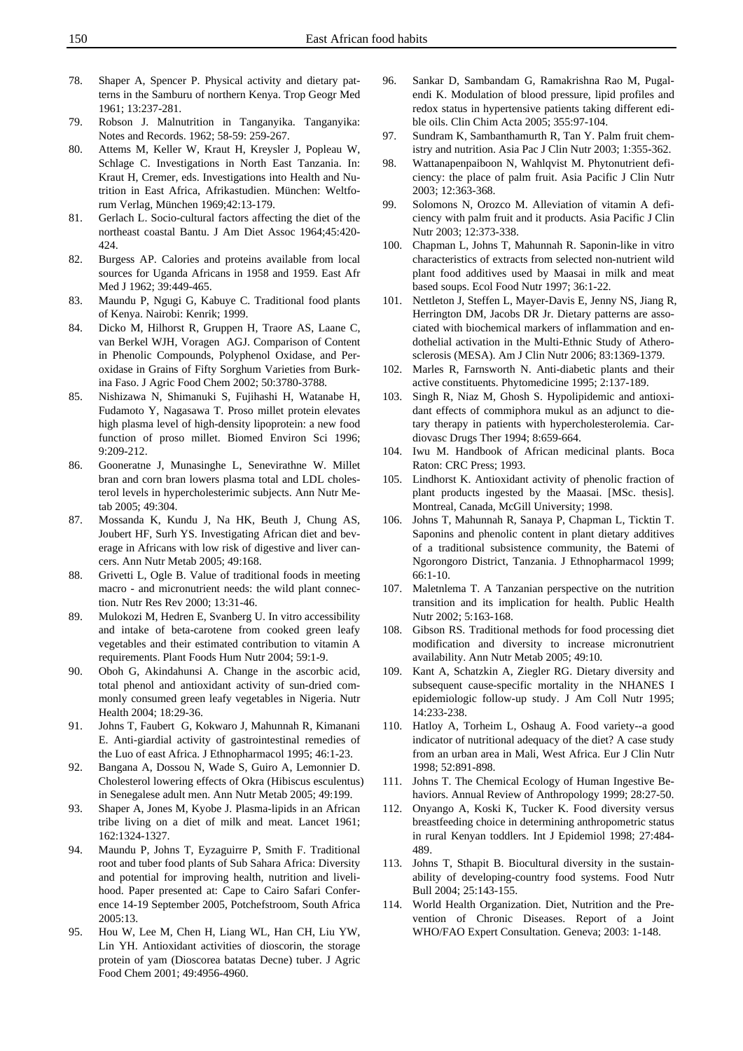- 78. Shaper A, Spencer P. Physical activity and dietary patterns in the Samburu of northern Kenya. Trop Geogr Med 1961; 13:237-281.
- 79. Robson J. Malnutrition in Tanganyika. Tanganyika: Notes and Records. 1962; 58-59: 259-267.
- 80. Attems M, Keller W, Kraut H, Kreysler J, Popleau W, Schlage C. Investigations in North East Tanzania. In: Kraut H, Cremer, eds. Investigations into Health and Nutrition in East Africa, Afrikastudien. München: Weltforum Verlag, München 1969;42:13-179.
- 81. Gerlach L. Socio-cultural factors affecting the diet of the northeast coastal Bantu. J Am Diet Assoc 1964;45:420- 424.
- 82. Burgess AP. Calories and proteins available from local sources for Uganda Africans in 1958 and 1959. East Afr Med J 1962; 39:449-465.
- 83. Maundu P, Ngugi G, Kabuye C. Traditional food plants of Kenya. Nairobi: Kenrik; 1999.
- 84. Dicko M, Hilhorst R, Gruppen H, Traore AS, Laane C, van Berkel WJH, Voragen AGJ. Comparison of Content in Phenolic Compounds, Polyphenol Oxidase, and Peroxidase in Grains of Fifty Sorghum Varieties from Burkina Faso. J Agric Food Chem 2002; 50:3780-3788.
- 85. Nishizawa N, Shimanuki S, Fujihashi H, Watanabe H, Fudamoto Y, Nagasawa T. Proso millet protein elevates high plasma level of high-density lipoprotein: a new food function of proso millet. Biomed Environ Sci 1996; 9:209-212.
- 86. Gooneratne J, Munasinghe L, Senevirathne W. Millet bran and corn bran lowers plasma total and LDL cholesterol levels in hypercholesterimic subjects. Ann Nutr Metab 2005; 49:304.
- 87. Mossanda K, Kundu J, Na HK, Beuth J, Chung AS, Joubert HF, Surh YS. Investigating African diet and beverage in Africans with low risk of digestive and liver cancers. Ann Nutr Metab 2005; 49:168.
- 88. Grivetti L, Ogle B. Value of traditional foods in meeting macro - and micronutrient needs: the wild plant connection. Nutr Res Rev 2000; 13:31-46.
- 89. Mulokozi M, Hedren E, Svanberg U. In vitro accessibility and intake of beta-carotene from cooked green leafy vegetables and their estimated contribution to vitamin A requirements. Plant Foods Hum Nutr 2004; 59:1-9.
- 90. Oboh G, Akindahunsi A. Change in the ascorbic acid, total phenol and antioxidant activity of sun-dried commonly consumed green leafy vegetables in Nigeria. Nutr Health 2004; 18:29-36.
- 91. Johns T, Faubert G, Kokwaro J, Mahunnah R, Kimanani E. Anti-giardial activity of gastrointestinal remedies of the Luo of east Africa. J Ethnopharmacol 1995; 46:1-23.
- 92. Bangana A, Dossou N, Wade S, Guiro A, Lemonnier D. Cholesterol lowering effects of Okra (Hibiscus esculentus) in Senegalese adult men. Ann Nutr Metab 2005; 49:199.
- 93. Shaper A, Jones M, Kyobe J. Plasma-lipids in an African tribe living on a diet of milk and meat. Lancet 1961; 162:1324-1327.
- 94. Maundu P, Johns T, Eyzaguirre P, Smith F. Traditional root and tuber food plants of Sub Sahara Africa: Diversity and potential for improving health, nutrition and livelihood. Paper presented at: Cape to Cairo Safari Conference 14-19 September 2005, Potchefstroom, South Africa 2005:13.
- 95. Hou W, Lee M, Chen H, Liang WL, Han CH, Liu YW, Lin YH. Antioxidant activities of dioscorin, the storage protein of yam (Dioscorea batatas Decne) tuber. J Agric Food Chem 2001; 49:4956-4960.
- 96. Sankar D, Sambandam G, Ramakrishna Rao M, Pugalendi K. Modulation of blood pressure, lipid profiles and redox status in hypertensive patients taking different edible oils. Clin Chim Acta 2005; 355:97-104.
- 97. Sundram K, Sambanthamurth R, Tan Y. Palm fruit chemistry and nutrition. Asia Pac J Clin Nutr 2003; 1:355-362.
- 98. Wattanapenpaiboon N, Wahlqvist M. Phytonutrient deficiency: the place of palm fruit. Asia Pacific J Clin Nutr 2003; 12:363-368.
- 99. Solomons N, Orozco M. Alleviation of vitamin A deficiency with palm fruit and it products. Asia Pacific J Clin Nutr 2003; 12:373-338.
- 100. Chapman L, Johns T, Mahunnah R. Saponin-like in vitro characteristics of extracts from selected non-nutrient wild plant food additives used by Maasai in milk and meat based soups. Ecol Food Nutr 1997; 36:1-22.
- 101. Nettleton J, Steffen L, Mayer-Davis E, Jenny NS, Jiang R, Herrington DM, Jacobs DR Jr. Dietary patterns are associated with biochemical markers of inflammation and endothelial activation in the Multi-Ethnic Study of Atherosclerosis (MESA). Am J Clin Nutr 2006; 83:1369-1379.
- 102. Marles R, Farnsworth N. Anti-diabetic plants and their active constituents. Phytomedicine 1995; 2:137-189.
- 103. Singh R, Niaz M, Ghosh S. Hypolipidemic and antioxidant effects of commiphora mukul as an adjunct to dietary therapy in patients with hypercholesterolemia. Cardiovasc Drugs Ther 1994; 8:659-664.
- 104. Iwu M. Handbook of African medicinal plants. Boca Raton: CRC Press; 1993.
- 105. Lindhorst K. Antioxidant activity of phenolic fraction of plant products ingested by the Maasai. [MSc. thesis]. Montreal, Canada, McGill University; 1998.
- 106. Johns T, Mahunnah R, Sanaya P, Chapman L, Ticktin T. Saponins and phenolic content in plant dietary additives of a traditional subsistence community, the Batemi of Ngorongoro District, Tanzania. J Ethnopharmacol 1999; 66:1-10.
- 107. Maletnlema T. A Tanzanian perspective on the nutrition transition and its implication for health. Public Health Nutr 2002; 5:163-168.
- 108. Gibson RS. Traditional methods for food processing diet modification and diversity to increase micronutrient availability. Ann Nutr Metab 2005; 49:10.
- 109. Kant A, Schatzkin A, Ziegler RG. Dietary diversity and subsequent cause-specific mortality in the NHANES I epidemiologic follow-up study. J Am Coll Nutr 1995; 14:233-238.
- 110. Hatloy A, Torheim L, Oshaug A. Food variety--a good indicator of nutritional adequacy of the diet? A case study from an urban area in Mali, West Africa. Eur J Clin Nutr 1998; 52:891-898.
- 111. Johns T. The Chemical Ecology of Human Ingestive Behaviors. Annual Review of Anthropology 1999; 28:27-50.
- 112. Onyango A, Koski K, Tucker K. Food diversity versus breastfeeding choice in determining anthropometric status in rural Kenyan toddlers. Int J Epidemiol 1998; 27:484- 489.
- 113. Johns T, Sthapit B. Biocultural diversity in the sustainability of developing-country food systems. Food Nutr Bull 2004; 25:143-155.
- 114. World Health Organization. Diet, Nutrition and the Prevention of Chronic Diseases. Report of a Joint WHO/FAO Expert Consultation. Geneva; 2003: 1-148.